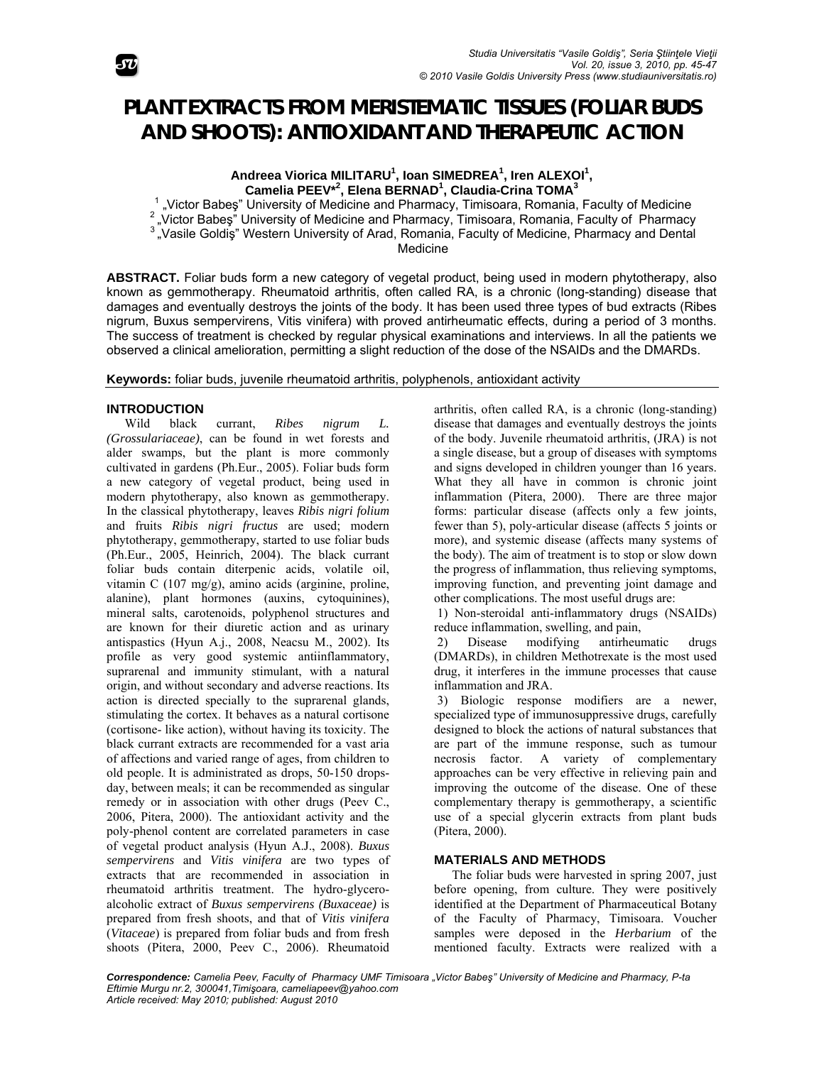

# **PLANT EXTRACTS FROM MERISTEMATIC TISSUES (FOLIAR BUDS AND SHOOTS): ANTIOXIDANT AND THERAPEUTIC ACTION**

Andreea Viorica MILITARU<sup>1</sup>, Ioan SIMEDREA<sup>1</sup>, Iren ALEXOI<sup>1</sup>, **Camelia PEEV\*<sup>2</sup> , Elena BERNAD<sup>1</sup> , Claudia-Crina TOMA3**

1 <sup>1</sup> "Victor Babeş" University of Medicine and Pharmacy, Timisoara, Romania, Faculty of Medicine<br><sup>2</sup> "Victor Babeş" University of Medicine and Pharmacy, Timisoara, Romania, Faculty of Pharmacy<br><sup>3</sup> "Vasile Goldiş" Western U Medicine

**ABSTRACT.** Foliar buds form a new category of vegetal product, being used in modern phytotherapy, also known as gemmotherapy. Rheumatoid arthritis, often called RA, is a chronic (long-standing) disease that damages and eventually destroys the joints of the body. It has been used three types of bud extracts (Ribes nigrum, Buxus sempervirens, Vitis vinifera) with proved antirheumatic effects, during a period of 3 months. The success of treatment is checked by regular physical examinations and interviews. In all the patients we observed a clinical amelioration, permitting a slight reduction of the dose of the NSAIDs and the DMARDs.

**Keywords:** foliar buds, juvenile rheumatoid arthritis, polyphenols, antioxidant activity

## **INTRODUCTION**

Wild black currant, *Ribes nigrum L. (Grossulariaceae)*, can be found in wet forests and alder swamps, but the plant is more commonly cultivated in gardens (Ph.Eur., 2005). Foliar buds form a new category of vegetal product, being used in modern phytotherapy, also known as gemmotherapy. In the classical phytotherapy, leaves *Ribis nigri folium* and fruits *Ribis nigri fructus* are used; modern phytotherapy, gemmotherapy, started to use foliar buds (Ph.Eur., 2005, Heinrich, 2004). The black currant foliar buds contain diterpenic acids, volatile oil, vitamin C (107 mg/g), amino acids (arginine, proline, alanine), plant hormones (auxins, cytoquinines), mineral salts, carotenoids, polyphenol structures and are known for their diuretic action and as urinary antispastics (Hyun A.j., 2008, Neacsu M., 2002). Its profile as very good systemic antiinflammatory, suprarenal and immunity stimulant, with a natural origin, and without secondary and adverse reactions. Its action is directed specially to the suprarenal glands, stimulating the cortex. It behaves as a natural cortisone (cortisone- like action), without having its toxicity. The black currant extracts are recommended for a vast aria of affections and varied range of ages, from children to old people. It is administrated as drops, 50-150 dropsday, between meals; it can be recommended as singular remedy or in association with other drugs (Peev C., 2006, Pitera, 2000). The antioxidant activity and the poly-phenol content are correlated parameters in case of vegetal product analysis (Hyun A.J., 2008). *Buxus sempervirens* and *Vitis vinifera* are two types of extracts that are recommended in association in rheumatoid arthritis treatment. The hydro-glyceroalcoholic extract of *Buxus sempervirens (Buxaceae)* is prepared from fresh shoots, and that of *Vitis vinifera* (*Vitaceae*) is prepared from foliar buds and from fresh shoots (Pitera, 2000, Peev C., 2006). Rheumatoid arthritis, often called RA, is a chronic (long-standing) disease that damages and eventually destroys the joints of the body. Juvenile rheumatoid arthritis, (JRA) is not a single disease, but a group of diseases with symptoms and signs developed in children younger than 16 years. What they all have in common is chronic joint inflammation (Pitera, 2000). There are three major forms: particular disease (affects only a few joints, fewer than 5), poly-articular disease (affects 5 joints or more), and systemic disease (affects many systems of the body). The aim of treatment is to stop or slow down the progress of inflammation, thus relieving symptoms, improving function, and preventing joint damage and other complications. The most useful drugs are:

 1) Non-steroidal anti-inflammatory drugs (NSAIDs) reduce inflammation, swelling, and pain,

 2) Disease modifying antirheumatic drugs (DMARDs), in children Methotrexate is the most used drug, it interferes in the immune processes that cause inflammation and JRA.

 3) Biologic response modifiers are a newer, specialized type of immunosuppressive drugs, carefully designed to block the actions of natural substances that are part of the immune response, such as tumour necrosis factor. A variety of complementary approaches can be very effective in relieving pain and improving the outcome of the disease. One of these complementary therapy is gemmotherapy, a scientific use of a special glycerin extracts from plant buds (Pitera, 2000).

## **MATERIALS AND METHODS**

The foliar buds were harvested in spring 2007, just before opening, from culture. They were positively identified at the Department of Pharmaceutical Botany of the Faculty of Pharmacy, Timisoara. Voucher samples were deposed in the *Herbarium* of the mentioned faculty. Extracts were realized with a

*Correspondence: Camelia Peev, Faculty of Pharmacy UMF Timisoara "Victor Babeş" University of Medicine and Pharmacy, P-ta Eftimie Murgu nr.2, 300041,Timişoara, cameliapeev@yahoo.com Article received: May 2010; published: August 2010*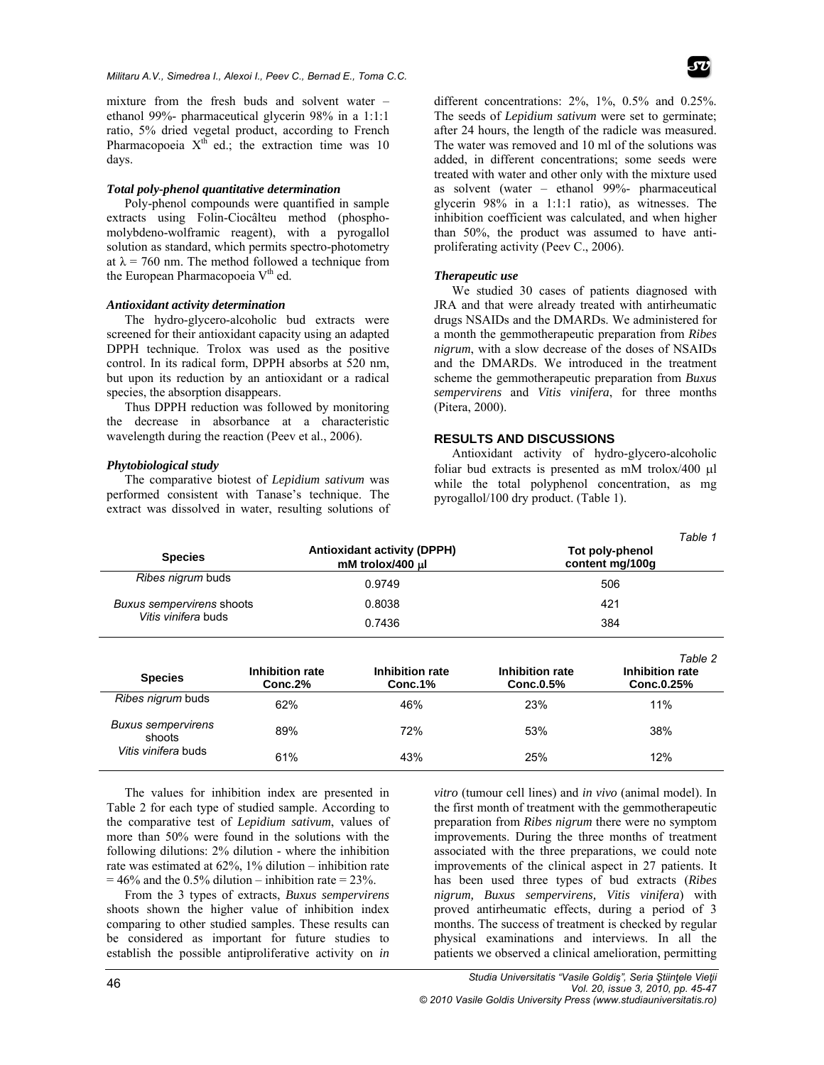mixture from the fresh buds and solvent water – ethanol 99%- pharmaceutical glycerin 98% in a 1:1:1 ratio, 5% dried vegetal product, according to French Pharmacopoeia  $X^{th}$  ed.; the extraction time was 10 days.

### *Total poly-phenol quantitative determination*

Poly-phenol compounds were quantified in sample extracts using Folin-Ciocâlteu method (phosphomolybdeno-wolframic reagent), with a pyrogallol solution as standard, which permits spectro-photometry at  $\lambda$  = 760 nm. The method followed a technique from the European Pharmacopoeia V<sup>th</sup> ed.

## *Antioxidant activity determination*

The hydro-glycero-alcoholic bud extracts were screened for their antioxidant capacity using an adapted DPPH technique. Trolox was used as the positive control. In its radical form, DPPH absorbs at 520 nm, but upon its reduction by an antioxidant or a radical species, the absorption disappears.

Thus DPPH reduction was followed by monitoring the decrease in absorbance at a characteristic wavelength during the reaction (Peev et al., 2006).

## *Phytobiological study*

The comparative biotest of *Lepidium sativum* was performed consistent with Tanase's technique. The extract was dissolved in water, resulting solutions of different concentrations: 2%, 1%, 0.5% and 0.25%. The seeds of *Lepidium sativum* were set to germinate; after 24 hours, the length of the radicle was measured. The water was removed and 10 ml of the solutions was added, in different concentrations; some seeds were treated with water and other only with the mixture used as solvent (water – ethanol 99%- pharmaceutical glycerin 98% in a 1:1:1 ratio), as witnesses. The inhibition coefficient was calculated, and when higher than 50%, the product was assumed to have antiproliferating activity (Peev C., 2006).

#### *Therapeutic use*

We studied 30 cases of patients diagnosed with JRA and that were already treated with antirheumatic drugs NSAIDs and the DMARDs. We administered for a month the gemmotherapeutic preparation from *Ribes nigrum*, with a slow decrease of the doses of NSAIDs and the DMARDs. We introduced in the treatment scheme the gemmotherapeutic preparation from *Buxus sempervirens* and *Vitis vinifera*, for three months (Pitera, 2000).

#### **RESULTS AND DISCUSSIONS**

Antioxidant activity of hydro-glycero-alcoholic foliar bud extracts is presented as  $m$ M trolox/400  $\mu$ l while the total polyphenol concentration, as mg pyrogallol/100 dry product. (Table 1).

| <b>Species</b>                                             |                            | <b>Antioxidant activity (DPPH)</b><br>mM trolox/400 µl | Table 1<br>Tot poly-phenol<br>content mg/100g |                                          |  |
|------------------------------------------------------------|----------------------------|--------------------------------------------------------|-----------------------------------------------|------------------------------------------|--|
| Ribes nigrum buds<br>0.9749                                |                            | 506                                                    |                                               |                                          |  |
| Buxus sempervirens shoots<br>Vitis vinifera buds           |                            | 0.8038                                                 |                                               | 421                                      |  |
|                                                            |                            | 0.7436                                                 |                                               | 384                                      |  |
| <b>Species</b>                                             | Inhibition rate<br>Conc.2% | Inhibition rate<br>Conc.1%                             | Inhibition rate<br>Conc.0.5%                  | Table 2<br>Inhibition rate<br>Conc.0.25% |  |
| Ribes nigrum buds                                          | 62%                        | 46%                                                    | 23%                                           | 11%                                      |  |
| <b>Buxus sempervirens</b><br>shoots<br>Vitis vinifera buds | 89%                        | 72%                                                    | 53%                                           | 38%                                      |  |
|                                                            | 61%                        | 43%                                                    | 25%                                           | 12%                                      |  |

The values for inhibition index are presented in Table 2 for each type of studied sample. According to the comparative test of *Lepidium sativum*, values of more than 50% were found in the solutions with the following dilutions: 2% dilution - where the inhibition rate was estimated at 62%, 1% dilution – inhibition rate  $= 46\%$  and the 0.5% dilution – inhibition rate  $= 23\%$ .

From the 3 types of extracts, *Buxus sempervirens*  shoots shown the higher value of inhibition index comparing to other studied samples. These results can be considered as important for future studies to establish the possible antiproliferative activity on *in* 

*vitro* (tumour cell lines) and *in vivo* (animal model). In the first month of treatment with the gemmotherapeutic preparation from *Ribes nigrum* there were no symptom improvements. During the three months of treatment associated with the three preparations, we could note improvements of the clinical aspect in 27 patients. It has been used three types of bud extracts (*Ribes nigrum, Buxus sempervirens, Vitis vinifera*) with proved antirheumatic effects, during a period of 3 months. The success of treatment is checked by regular physical examinations and interviews. In all the patients we observed a clinical amelioration, permitting